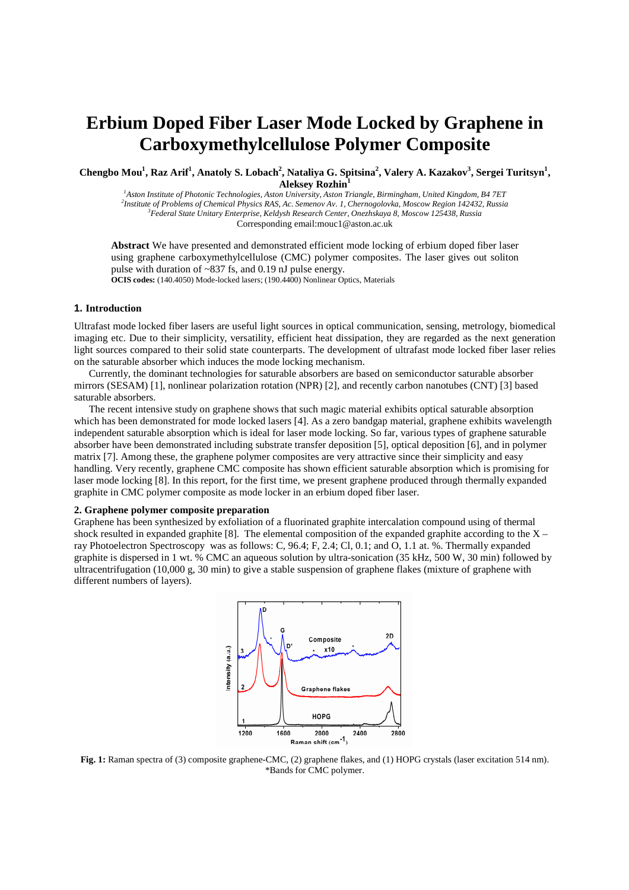# **Erbium Doped Fiber Laser Mode Locked by Graphene in Carboxymethylcellulose Polymer Composite**

**Chengbo Mou<sup>1</sup> , Raz Arif<sup>1</sup> , Anatoly S. Lobach<sup>2</sup> , Nataliya G. Spitsina<sup>2</sup> , Valery A. Kazakov<sup>3</sup> , Sergei Turitsyn<sup>1</sup> , Aleksey Rozhin<sup>1</sup>**

*Aston Institute of Photonic Technologies, Aston University, Aston Triangle, Birmingham, United Kingdom, B4 7ET Institute of Problems of Chemical Physics RAS, Ac. Semenov Av. 1, Chernogolovka, Moscow Region 142432, Russia Federal State Unitary Enterprise, Keldysh Research Center, Onezhskaya 8, Moscow 125438, Russia*  Corresponding email:mouc1@aston.ac.uk

**Abstract** We have presented and demonstrated efficient mode locking of erbium doped fiber laser using graphene carboxymethylcellulose (CMC) polymer composites. The laser gives out soliton pulse with duration of ~837 fs, and 0.19 nJ pulse energy. **OCIS codes:** (140.4050) Mode-locked lasers; (190.4400) Nonlinear Optics, Materials

# **1. Introduction**

Ultrafast mode locked fiber lasers are useful light sources in optical communication, sensing, metrology, biomedical imaging etc. Due to their simplicity, versatility, efficient heat dissipation, they are regarded as the next generation light sources compared to their solid state counterparts. The development of ultrafast mode locked fiber laser relies on the saturable absorber which induces the mode locking mechanism.

Currently, the dominant technologies for saturable absorbers are based on semiconductor saturable absorber mirrors (SESAM) [1], nonlinear polarization rotation (NPR) [2], and recently carbon nanotubes (CNT) [3] based saturable absorbers.

The recent intensive study on graphene shows that such magic material exhibits optical saturable absorption which has been demonstrated for mode locked lasers [4]. As a zero bandgap material, graphene exhibits wavelength independent saturable absorption which is ideal for laser mode locking. So far, various types of graphene saturable absorber have been demonstrated including substrate transfer deposition [5], optical deposition [6], and in polymer matrix [7]. Among these, the graphene polymer composites are very attractive since their simplicity and easy handling. Very recently, graphene CMC composite has shown efficient saturable absorption which is promising for laser mode locking [8]. In this report, for the first time, we present graphene produced through thermally expanded graphite in CMC polymer composite as mode locker in an erbium doped fiber laser.

## **2. Graphene polymer composite preparation**

Graphene has been synthesized by exfoliation of a fluorinated graphite intercalation compound using of thermal shock resulted in expanded graphite [8]. The elemental composition of the expanded graphite according to the  $X$ ray Photoelectron Spectroscopy was as follows: C, 96.4; F, 2.4; Cl, 0.1; and O, 1.1 at. %. Thermally expanded graphite is dispersed in 1 wt. % CMC an aqueous solution by ultra-sonication (35 kHz, 500 W, 30 min) followed by ultracentrifugation (10,000 g, 30 min) to give a stable suspension of graphene flakes (mixture of graphene with different numbers of layers).



**Fig. 1:** Raman spectra of (3) composite graphene-CMC, (2) graphene flakes, and (1) HOPG crystals (laser excitation 514 nm). \*Bands for CMC polymer.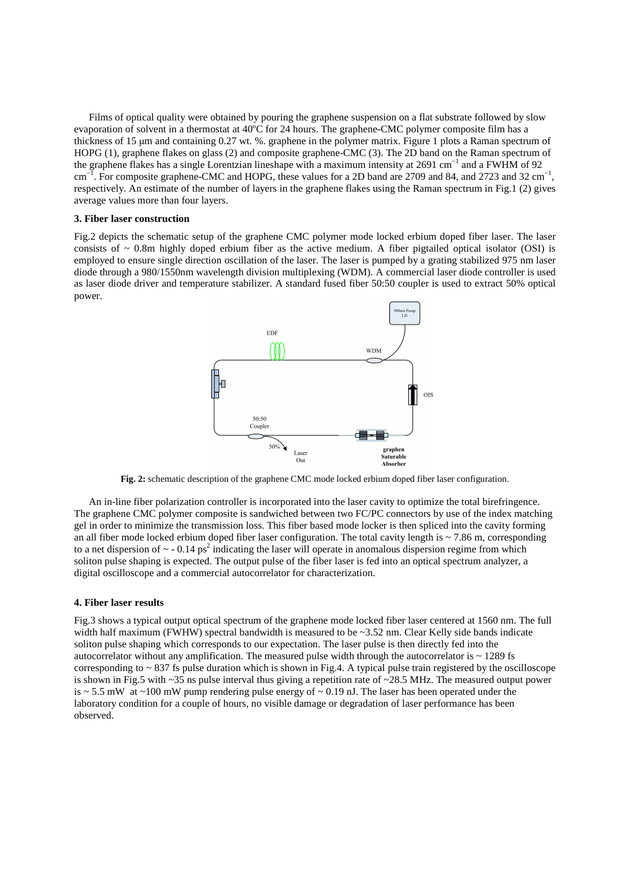Films of optical quality were obtained by pouring the graphene suspension on a flat substrate followed by slow evaporation of solvent in a thermostat at  $40^{\circ}$ C for 24 hours. The graphene-CMC polymer composite film has a thickness of 15 µm and containing 0.27 wt. %. graphene in the polymer matrix. Figure 1 plots a Raman spectrum of HOPG (1), graphene flakes on glass (2) and composite graphene-CMC (3). The 2D band on the Raman spectrum of the graphene flakes has a single Lorentzian lineshape with a maximum intensity at 2691 cm−1 and a FWHM of 92 cm<sup>-1</sup>. For composite graphene-CMC and HOPG, these values for a 2D band are 2709 and 84, and 2723 and 32 cm<sup>-1</sup>, respectively. An estimate of the number of layers in the graphene flakes using the Raman spectrum in Fig.1 (2) gives average values more than four layers.

#### **3. Fiber laser construction**

Fig.2 depicts the schematic setup of the graphene CMC polymer mode locked erbium doped fiber laser. The laser consists of  $\sim$  0.8m highly doped erbium fiber as the active medium. A fiber pigtailed optical isolator (OSI) is employed to ensure single direction oscillation of the laser. The laser is pumped by a grating stabilized 975 nm laser diode through a 980/1550nm wavelength division multiplexing (WDM). A commercial laser diode controller is used as laser diode driver and temperature stabilizer. A standard fused fiber 50:50 coupler is used to extract 50% optical power.



**Fig. 2:** schematic description of the graphene CMC mode locked erbium doped fiber laser configuration.

An in-line fiber polarization controller is incorporated into the laser cavity to optimize the total birefringence. The graphene CMC polymer composite is sandwiched between two FC/PC connectors by use of the index matching gel in order to minimize the transmission loss. This fiber based mode locker is then spliced into the cavity forming an all fiber mode locked erbium doped fiber laser configuration. The total cavity length is  $\sim$  7.86 m, corresponding to a net dispersion of  $\sim$  - 0.14 ps<sup>2</sup> indicating the laser will operate in anomalous dispersion regime from which soliton pulse shaping is expected. The output pulse of the fiber laser is fed into an optical spectrum analyzer, a digital oscilloscope and a commercial autocorrelator for characterization.

#### **4. Fiber laser results**

Fig.3 shows a typical output optical spectrum of the graphene mode locked fiber laser centered at 1560 nm. The full width half maximum (FWHW) spectral bandwidth is measured to be  $\sim$ 3.52 nm. Clear Kelly side bands indicate soliton pulse shaping which corresponds to our expectation. The laser pulse is then directly fed into the autocorrelator without any amplification. The measured pulse width through the autocorrelator is  $\sim$  1289 fs corresponding to  $\sim$  837 fs pulse duration which is shown in Fig.4. A typical pulse train registered by the oscilloscope is shown in Fig.5 with ~35 ns pulse interval thus giving a repetition rate of ~28.5 MHz. The measured output power is  $\sim$  5.5 mW at  $\sim$ 100 mW pump rendering pulse energy of  $\sim$  0.19 nJ. The laser has been operated under the laboratory condition for a couple of hours, no visible damage or degradation of laser performance has been observed.